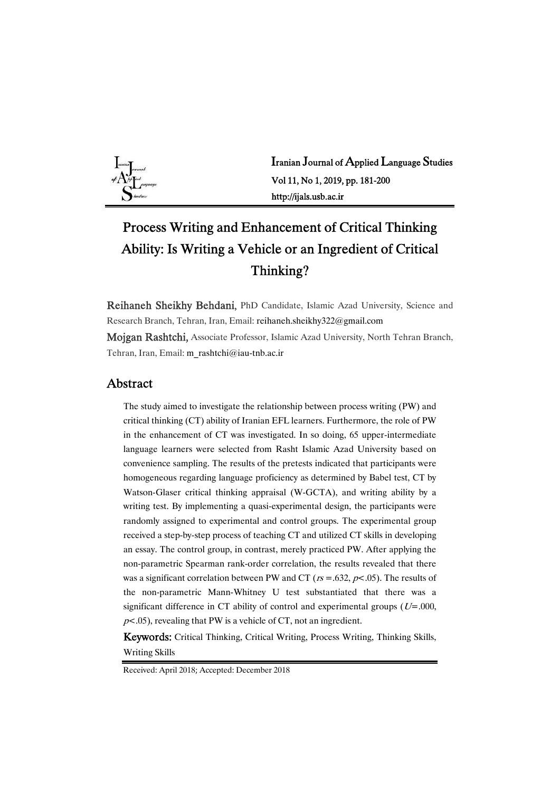

Iranian Journal of Applied Language Studies Vol 11, No 1, 2019, pp. 181-200 http://ijals.usb.ac.ir

# Process Writing and Enhancement of Critical Thinking Ability: Is Writing a Vehicle or an Ingredient of Critical Thinking?

Reihaneh Sheikhy Behdani, PhD Candidate, Islamic Azad University, Science and Research Branch, Tehran, Iran, Email: reihaneh.sheikhy322@gmail.com

Mojgan Rashtchi, Associate Professor, Islamic Azad University, North Tehran Branch, Tehran, Iran, Email: m\_rashtchi@iau-tnb.ac.ir

### Abstract

The study aimed to investigate the relationship between process writing (PW) and critical thinking (CT) ability of Iranian EFL learners. Furthermore, the role of PW in the enhancement of CT was investigated. In so doing, 65 upper-intermediate language learners were selected from Rasht Islamic Azad University based on convenience sampling. The results of the pretests indicated that participants were homogeneous regarding language proficiency as determined by Babel test, CT by Watson-Glaser critical thinking appraisal (W-GCTA), and writing ability by a writing test. By implementing a quasi-experimental design, the participants were randomly assigned to experimental and control groups. The experimental group received a step-by-step process of teaching CT and utilized CT skills in developing an essay. The control group, in contrast, merely practiced PW. After applying the non-parametric Spearman rank-order correlation, the results revealed that there was a significant correlation between PW and CT ( $rs = .632, p < .05$ ). The results of the non-parametric Mann-Whitney U test substantiated that there was a significant difference in CT ability of control and experimental groups ( $U=0.000$ ,  $p$ <.05), revealing that PW is a vehicle of CT, not an ingredient.

Keywords: Critical Thinking, Critical Writing, Process Writing, Thinking Skills, Writing Skills

Received: April 2018; Accepted: December 2018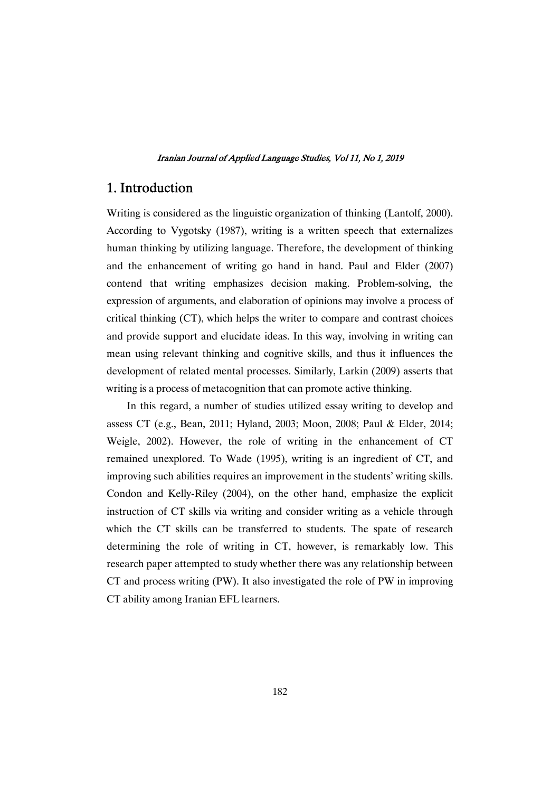## 1. Introduction

Writing is considered as the linguistic organization of thinking (Lantolf, 2000). According to Vygotsky (1987), writing is a written speech that externalizes human thinking by utilizing language. Therefore, the development of thinking and the enhancement of writing go hand in hand. Paul and Elder (2007) contend that writing emphasizes decision making. Problem-solving, the expression of arguments, and elaboration of opinions may involve a process of critical thinking  $(CT)$ , which helps the writer to compare and contrast choices and provide support and elucidate ideas. In this way, involving in writing can mean using relevant thinking and cognitive skills, and thus it influences the development of related mental processes. Similarly, Larkin (2009) asserts that writing is a process of metacognition that can promote active thinking.

In this regard, a number of studies utilized essay writing to develop and assess CT (e.g., Bean, 2011; Hyland, 2003; Moon, 2008; Paul & Elder, 2014; Weigle, 2002). However, the role of writing in the enhancement of CT remained unexplored. To Wade (1995), writing is an ingredient of CT, and improving such abilities requires an improvement in the students' writing skills. Condon and Kelly-Riley (2004), on the other hand, emphasize the explicit instruction of CT skills via writing and consider writing as a vehicle through which the CT skills can be transferred to students. The spate of research determining the role of writing in CT, however, is remarkably low. This research paper attempted to study whether there was any relationship between CT and process writing (PW). It also investigated the role of PW in improving CT ability among Iranian EFL learners.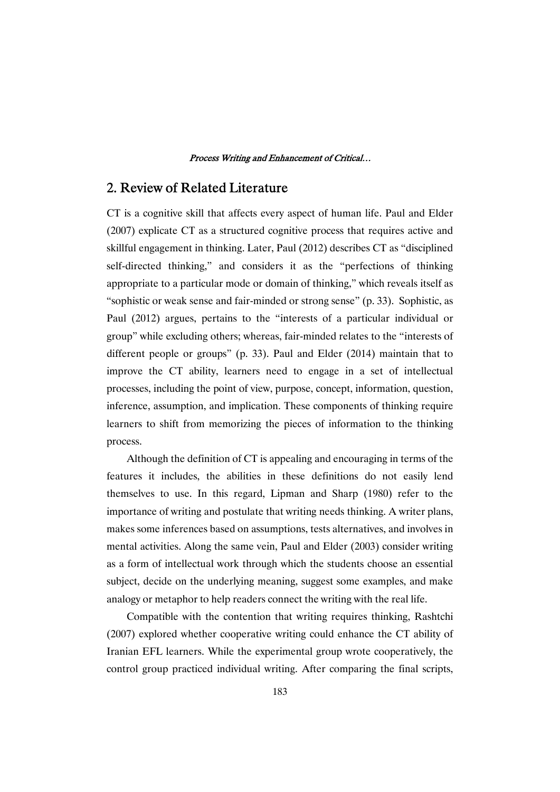# 2. Review of Related Literature

CT is a cognitive skill that affects every aspect of human life. Paul and Elder  $(2007)$  explicate CT as a structured cognitive process that requires active and skillful engagement in thinking. Later, Paul (2012) describes CT as "disciplined self-directed thinking," and considers it as the "perfections of thinking appropriate to a particular mode or domain of thinking," which reveals itself as "sophistic or weak sense and fair-minded or strong sense" (p. 33). Sophistic, as Paul (2012) argues, pertains to the "interests of a particular individual or group" while excluding others; whereas, fair-minded relates to the "interests of different people or groups" (p. 33). Paul and Elder (2014) maintain that to improve the CT ability, learners need to engage in a set of intellectual processes, including the point of view, purpose, concept, information, question, inference, assumption, and implication. These components of thinking require learners to shift from memorizing the pieces of information to the thinking process.

Although the definition of  $CT$  is appealing and encouraging in terms of the features it includes, the abilities in these definitions do not easily lend themselves to use. In this regard, Lipman and Sharp (1980) refer to the importance of writing and postulate that writing needs thinking. A writer plans, makes some inferences based on assumptions, tests alternatives, and involves in mental activities. Along the same vein, Paul and Elder  $(2003)$  consider writing as a form of intellectual work through which the students choose an essential subject, decide on the underlying meaning, suggest some examples, and make analogy or metaphor to help readers connect the writing with the real life.

Compatible with the contention that writing requires thinking, Rashtchi  $(2007)$  explored whether cooperative writing could enhance the CT ability of Iranian EFL learners. While the experimental group wrote cooperatively, the control group practiced individual writing. After comparing the final scripts,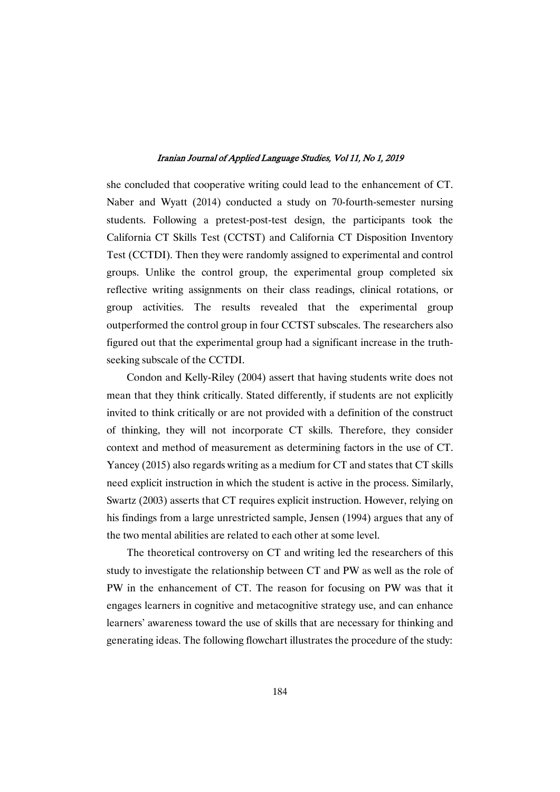she concluded that cooperative writing could lead to the enhancement of CT. Naber and Wyatt (2014) conducted a study on 70-fourth-semester nursing students. Following a pretest-post-test design, the participants took the California CT Skills Test (CCTST) and California CT Disposition Inventory Test (CCTDI). Then they were randomly assigned to experimental and control groups. Unlike the control group, the experimental group completed six reflective writing assignments on their class readings, clinical rotations, or group activities. The results revealed that the experimental group outperformed the control group in four CCTST subscales. The researchers also figured out that the experimental group had a significant increase in the truthseeking subscale of the CCTDI.

Condon and Kelly-Riley (2004) assert that having students write does not mean that they think critically. Stated differently, if students are not explicitly invited to think critically or are not provided with a definition of the construct of thinking, they will not incorporate CT skills. Therefore, they consider context and method of measurement as determining factors in the use of CT. Yancey (2015) also regards writing as a medium for CT and states that CT skills need explicit instruction in which the student is active in the process. Similarly, Swartz (2003) asserts that CT requires explicit instruction. However, relying on his findings from a large unrestricted sample, Jensen (1994) argues that any of the two mental abilities are related to each other at some level.

The theoretical controversy on CT and writing led the researchers of this study to investigate the relationship between CT and PW as well as the role of PW in the enhancement of CT. The reason for focusing on PW was that it engages learners in cognitive and metacognitive strategy use, and can enhance learners' awareness toward the use of skills that are necessary for thinking and generating ideas. The following flowchart illustrates the procedure of the study: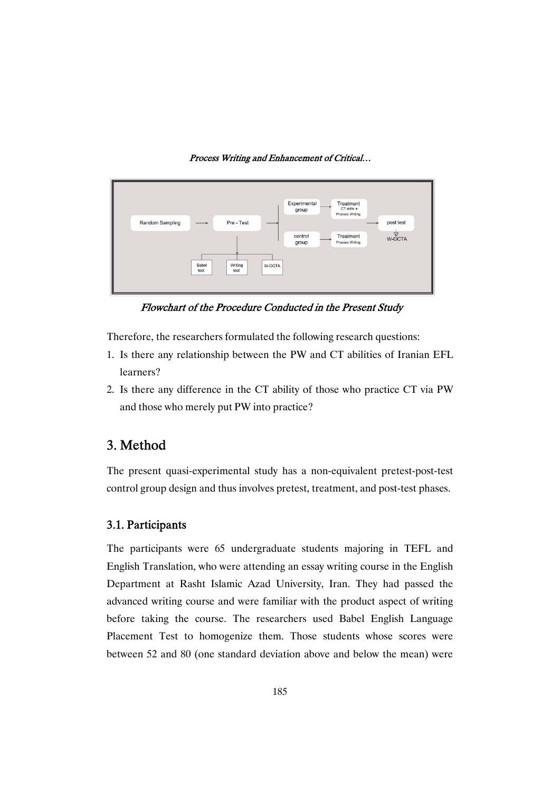

Flowchart of the Procedure Conducted in the Present Study

Therefore, the researchers formulated the following research questions:

- 1. Is there any relationship between the PW and CT abilities of Iranian EFL learners?
- 2. Is there any difference in the CT ability of those who practice CT via PW and those who merely put PW into practice?

# 3. Method

The present quasi-experimental study has a non-equivalent pretest-post-test control group design and thus involves pretest, treatment, and post-test phases.

### 3.1.Participants

The participants were 65 undergraduate students majoring in TEFL and English Translation, who were attending an essay writing course in the English Department at Rasht Islamic Azad University, Iran. They had passed the advanced writing course and were familiar with the product aspect of writing before taking the course. The researchers used Babel English Language Placement Test to homogenize them. Those students whose scores were between 52 and 80 (one standard deviation above and below the mean) were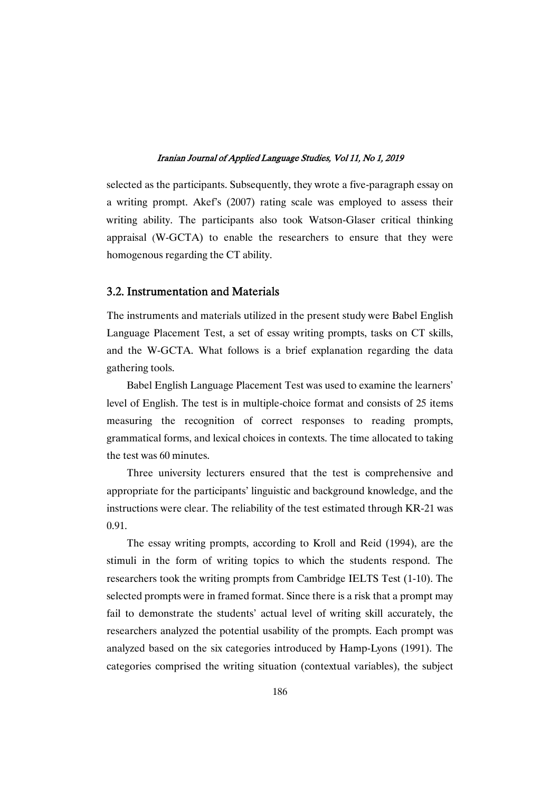selected as the participants. Subsequently, they wrote a five-paragraph essay on a writing prompt. Akef's (2007) rating scale was employed to assess their writing ability. The participants also took Watson-Glaser critical thinking appraisal (W-GCTA) to enable the researchers to ensure that they were homogenous regarding the CT ability.

### 3.2. Instrumentation and Materials

The instruments and materials utilized in the present study were Babel English Language Placement Test, a set of essay writing prompts, tasks on CT skills, and the W-GCTA. What follows is a brief explanation regarding the data gathering tools.

Babel English Language Placement Test was used to examine the learners' level of English. The test is in multiple-choice format and consists of 25 items measuring the recognition of correct responses to reading prompts, grammatical forms, and lexical choices in contexts. The time allocated to taking the test was 60 minutes.

Three university lecturers ensured that the test is comprehensive and appropriate for the participants' linguistic and background knowledge, and the instructions were clear. The reliability of the test estimated through  $KR-21$  was 0.91.

The essay writing prompts, according to Kroll and Reid (1994), are the stimuli in the form of writing topics to which the students respond. The researchers took the writing prompts from Cambridge IELTS Test (1-10). The selected prompts were in framed format. Since there is a risk that a prompt may fail to demonstrate the students' actual level of writing skill accurately, the researchers analyzed the potential usability of the prompts. Each prompt was analyzed based on the six categories introduced byHamp-Lyons (1991). The categories comprised the writing situation (contextual variables), the subject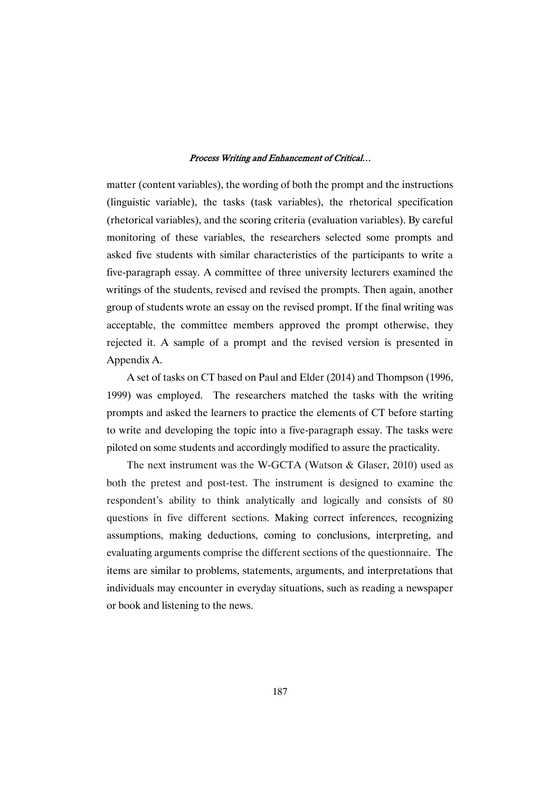matter (content variables), the wording of both the prompt and the instructions (linguistic variable), the tasks (task variables), the rhetorical specification (rhetorical variables), and the scoring criteria (evaluation variables). By careful monitoring of these variables, the researchers selected some prompts and asked five students with similar characteristics of the participants to write a five-paragraph essay. A committee of three university lecturers examined the writings of the students, revised and revised the prompts. Then again, another group of students wrote an essay on the revised prompt. If the final writing was acceptable, the committee members approved the prompt otherwise, they rejected it. A sample of a prompt and the revised version is presented in AppendixA.

A set of tasks on CT based on Paul and Elder (2014) and Thompson (1996, 1999) was employed. The researchers matched the tasks with the writing prompts and asked the learners to practice the elements of CT before starting to write and developing the topic into a five-paragraph essay. The tasks were piloted on some students and accordingly modified to assure the practicality.

The next instrument was the W-GCTA (Watson  $& G$  Glaser, 2010) used as both the pretest and post-test. The instrument is designed to examine the respondent's ability to think analytically and logically and consists of 80 questions in five different sections. Making correct inferences, recognizing assumptions, making deductions, coming to conclusions, interpreting, and evaluating arguments comprise the different sections of the questionnaire. The items are similar to problems, statements, arguments, and interpretations that individuals may encounter in everyday situations, such as reading a newspaper or book and listening to the news.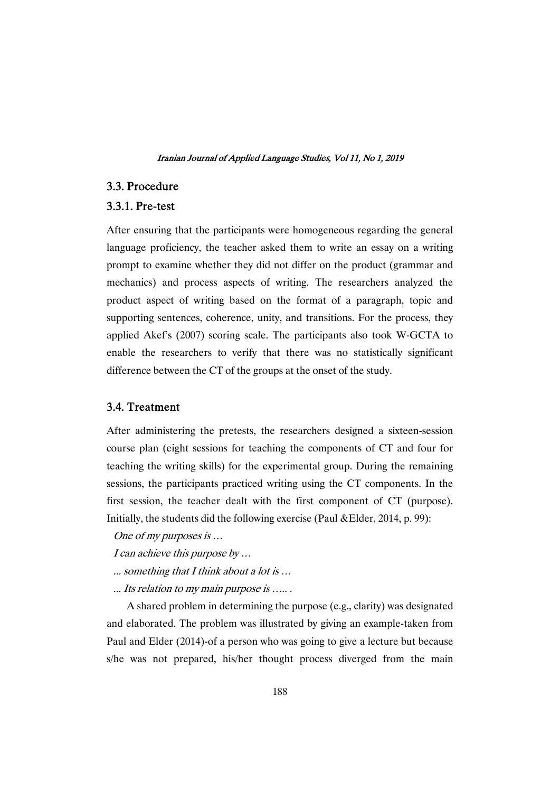### 3.3.Procedure

### 3.3.1.Pre-test

After ensuring that the participants were homogeneous regarding the general language proficiency, the teacher asked them to write an essay on a writing prompt to examine whether they did not differ on the product (grammar and mechanics) and process aspects of writing. The researchers analyzed the product aspect of writing based on the format of a paragraph, topic and supporting sentences, coherence, unity, and transitions. For the process, they applied Akef's (2007) scoring scale. The participants also took W-GCTA to enable the researchers to verify that there was no statistically significant difference between the CT of the groups at the onset of the study.

### 3.4.Treatment

After administering the pretests, the researchers designed a sixteen-session course plan (eight sessions for teaching the components of CT and four for teaching the writing skills) for the experimental group. During the remaining sessions, the participants practiced writing using the CT components. In the first session, the teacher dealt with the first component of CT (purpose). Initially, the students did the following exercise (Paul &Elder, 2014, p. 99):

One of my purposes is ...

- I can achieve this purpose by  $\ldots$
- ... something that I think about a lot is ...
- ... Its relation to my main purpose is ......

A shared problem in determining the purpose (e.g., clarity) was designated and elaborated. The problem was illustrated by giving an example-taken from Paul and Elder (2014)-of a person who was going to give a lecture but because s/he was not prepared, his/her thought process diverged from the main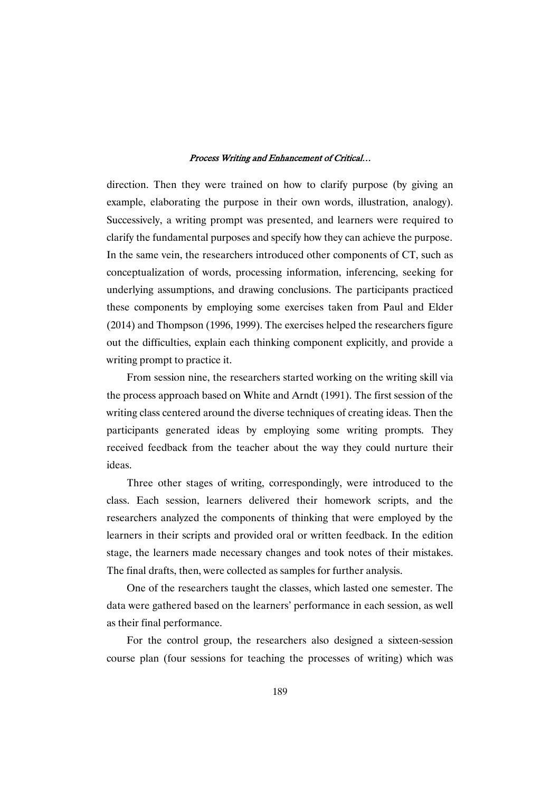direction. Then they were trained on how to clarify purpose (by giving an example, elaborating the purpose in their own words, illustration, analogy). Successively, a writing prompt was presented, and learners were required to clarify the fundamental purposes and specify how they can achieve the purpose. In the same vein, the researchers introduced other components of CT, such as conceptualization of words, processing information, inferencing, seeking for underlying assumptions, and drawing conclusions. The participants practiced these components by employing some exercises taken from Paul and Elder  $(2014)$  and Thompson  $(1996, 1999)$ . The exercises helped the researchers figure out the difficulties, explain each thinking component explicitly, and provide a writing prompt to practice it.

From session nine, the researchers started working on the writing skill via the process approach based on White and Arndt (1991). The first session of the writing class centered around the diverse techniques of creating ideas. Then the participants generated ideas by employing some writing prompts. They received feedback from the teacher about the way they could nurture their ideas.

Three other stages of writing, correspondingly, were introduced to the class. Each session, learners delivered their homework scripts, and the researchers analyzed the components of thinking that were employed by the learners in their scripts and provided oral or written feedback. In the edition stage, the learners made necessary changes and took notes of their mistakes. The final drafts, then, were collected as samples for further analysis.

One of the researchers taught the classes, which lasted one semester. The data were gathered based on the learners' performance in each session, as well as their final performance.

For the control group, the researchers also designed a sixteen-session course plan (four sessions for teaching the processes of writing) which was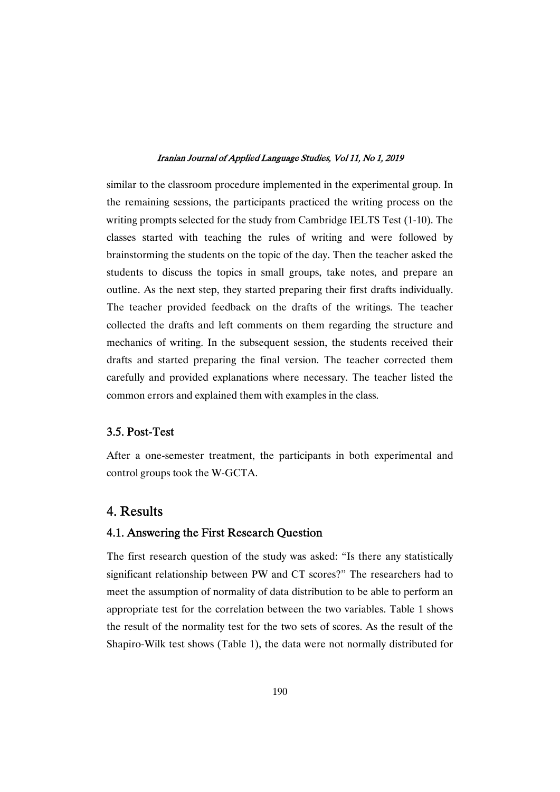similar to the classroom procedure implemented in the experimental group. In the remaining sessions, the participants practiced the writing process on the writing prompts selected for the study from Cambridge IELTS Test (1-10). The classes started with teaching the rules of writing and were followed by brainstorming the students on the topic of the day. Then the teacher asked the students to discuss the topics in small groups, take notes, and prepare an outline. As the next step, they started preparing their first drafts individually. The teacher provided feedback on the drafts of the writings. The teacher collected the drafts and left comments on them regarding the structure and mechanics of writing. In the subsequent session, the students received their drafts and started preparing the final version. The teacher corrected them carefully and provided explanations where necessary. The teacher listed the common errors and explained them with examples in the class.

### 3.5.Post-Test

After a one-semester treatment, the participants in both experimental and control groups took the W-GCTA.

# 4. Results

### 4.1. Answering the First Research Question

The first research question of the study was asked: "Is there any statistically significant relationship between PW and CT scores?" The researchers had to meet the assumption of normality of data distribution to be able to perform an appropriate test for the correlation between the two variables. Table 1 shows the result of the normality test for the two sets of scores. As the result of the Shapiro-Wilk test shows (Table 1), the data were not normally distributed for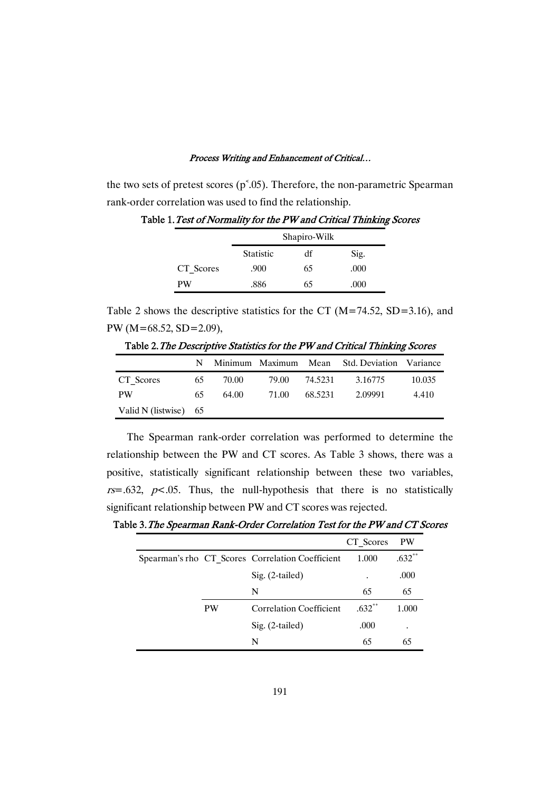the two sets of pretest scores ( $p^{\text{s}}$ .05). Therefore, the non-parametric Spearman rank-order correlation was used to find the relationship.

|           | Shapiro-Wilk     |    |      |
|-----------|------------------|----|------|
|           | <b>Statistic</b> | df | Sig. |
| CT Scores | .900             | 65 | .000 |
| PW        | .886             | 65 | .000 |

Table 1. Test of Normality for the PW and Critical Thinking Scores

Table 2 shows the descriptive statistics for the CT ( $M=74.52$ , SD=3.16), and PW (M=68.52, SD=2.09),

|                         | N.  |       |       |         | Minimum Maximum Mean Std. Deviation Variance |        |
|-------------------------|-----|-------|-------|---------|----------------------------------------------|--------|
| CT Scores               | -65 | 70.00 | 79.00 | 74.5231 | 3.16775                                      | 10.035 |
| <b>PW</b>               | 65. | 64.00 | 71.00 | 68.5231 | 2.09991                                      | 4.410  |
| Valid N (listwise) $65$ |     |       |       |         |                                              |        |

Table 2. The Descriptive Statistics for the PW and Critical Thinking Scores

The Spearman rank-order correlation was performed to determine the relationship between the PW and CT scores. As Table 3 shows, there was a positive, statistically significant relationship between these two variables,  $rs = .632$ ,  $p < .05$ . Thus, the null-hypothesis that there is no statistically significant relationship between PW and CT scores was rejected.

Table 3. The Spearman Rank-Order Correlation Test for the PW and CT Scores

|           |                                                  | CT Scores | <b>PW</b> |
|-----------|--------------------------------------------------|-----------|-----------|
|           | Spearman's rho CT Scores Correlation Coefficient | 1.000     | $.632**$  |
|           | $Sig. (2-tailed)$                                | $\bullet$ | .000      |
|           | N                                                | 65        | 65        |
| <b>PW</b> | <b>Correlation Coefficient</b>                   | $.632**$  | 1.000     |
|           | $Sig. (2-tailed)$                                | .000      | $\bullet$ |
|           | N                                                | 65        | 65        |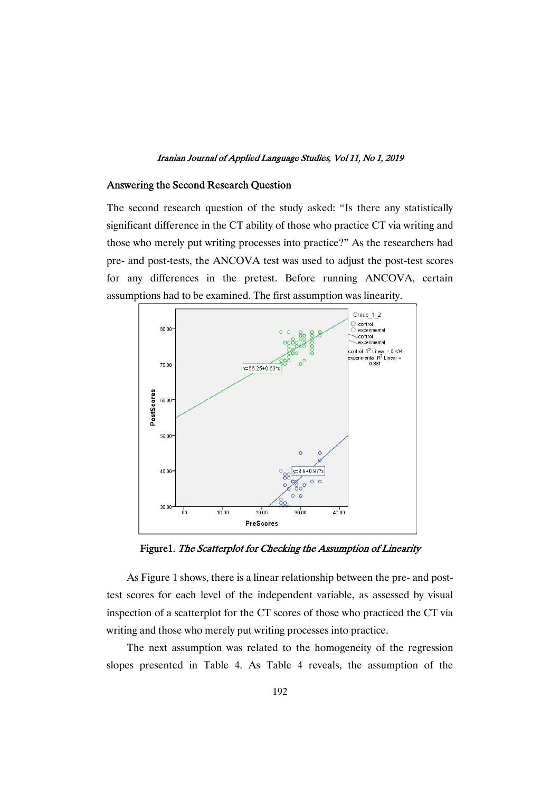### Answering the Second Research Question

The second research question of the study asked: "Is there any statistically significant difference in the CT ability of those who practice CT via writing and those who merely put writing processes into practice?" As the researchers had pre- and post-tests, the ANCOVA test was used to adjust the post-test scores for any differences in the pretest. Before running ANCOVA, certain assumptions had to be examined. The first assumption was linearity.



Figure1. The Scatterplot for Checking the Assumption of Linearity

As Figure 1 shows, there is a linear relationship between the pre- and posttest scores for each level of the independent variable, as assessed by visual inspection of a scatterplot for the CT scores of those who practiced the CT via writing and those who merely put writing processes into practice.

The next assumption was related to the homogeneity of the regression slopes presented in Table 4. As Table 4 reveals, the assumption of the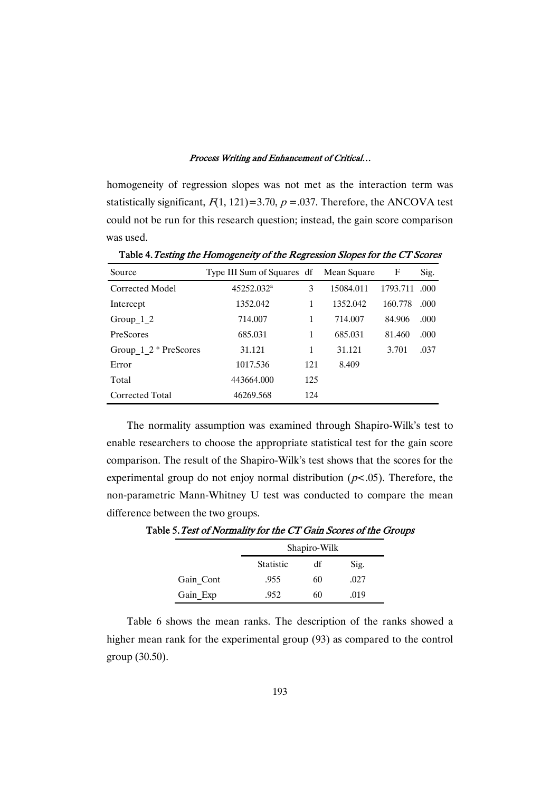homogeneity of regression slopes was not met as the interaction term was statistically significant,  $F(1, 121) = 3.70$ ,  $p = .037$ . Therefore, the ANCOVA test could not be run for this research question; instead, the gain score comparison was used.

| Source                    | Type III Sum of Squares df Mean Square |     |           | F        | Sig. |
|---------------------------|----------------------------------------|-----|-----------|----------|------|
| Corrected Model           | 45252.032 <sup>a</sup>                 | 3   | 15084.011 | 1793.711 | .000 |
| Intercept                 | 1352.042                               | 1   | 1352.042  | 160.778  | .000 |
| Group $1\,2$              | 714.007                                | 1   | 714.007   | 84.906   | .000 |
| PreScores                 | 685.031                                | 1   | 685.031   | 81.460   | .000 |
| Group $1 \ 2$ * PreScores | 31.121                                 | 1   | 31.121    | 3.701    | .037 |
| Error                     | 1017.536                               | 121 | 8.409     |          |      |
| Total                     | 443664.000                             | 125 |           |          |      |
| Corrected Total           | 46269.568                              | 124 |           |          |      |

Table 4. Testing the Homogeneity of the Regression Slopes for the CT Scores

The normality assumption was examined through Shapiro-Wilk's test to enable researchers to choose the appropriate statistical test for the gain score comparison. The result of the Shapiro-Wilk's test shows that the scores for the experimental group do not enjoy normal distribution ( $p$ <.05). Therefore, the non-parametric Mann-Whitney U test was conducted to compare the mean difference between the two groups.

|           | Shapiro-Wilk     |    |      |  |
|-----------|------------------|----|------|--|
|           | <b>Statistic</b> | df | Sig. |  |
| Gain Cont | .955             | 60 | .027 |  |
| Gain Exp  | .952             | 60 | .019 |  |

Table 5. Test of Normality for the CT Gain Scores of the Groups

Table 6 shows the mean ranks. The description of the ranks showed a higher mean rank for the experimental group (93) as compared to the control group(30.50).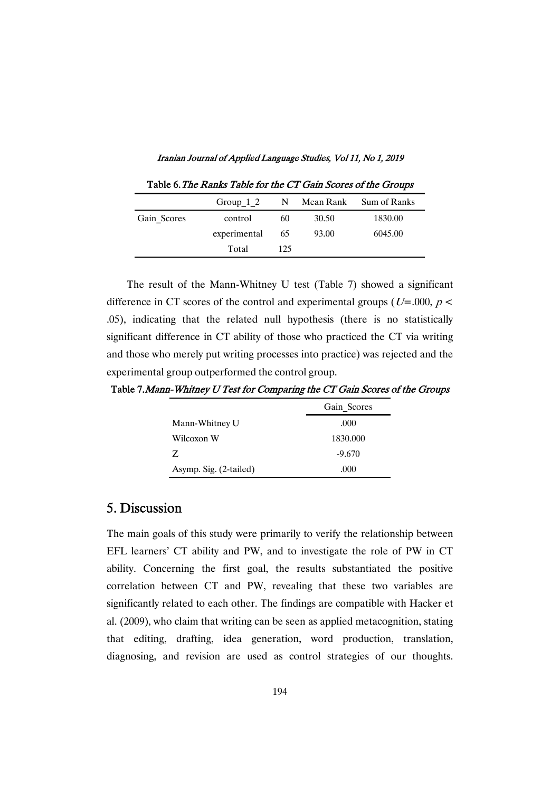Iranian Journal of Applied Language Studies, Vol 11, No 1, 2019

|             | Group $1\,2$ |     |       | N Mean Rank Sum of Ranks |
|-------------|--------------|-----|-------|--------------------------|
| Gain Scores | control      | 60  | 30.50 | 1830.00                  |
|             | experimental | 65  | 93.00 | 6045.00                  |
|             | Total        | 125 |       |                          |

Table 6. The Ranks Table for the CT Gain Scores of the Groups

The result of the Mann-Whitney U test (Table 7) showed a significant difference in CT scores of the control and experimental groups ( $U=0.00, p <$ .05), indicating that the related null hypothesis (there is no statistically significant difference in CT ability of those who practiced the CT via writing and those who merely put writing processes into practice) was rejected and the experimental group outperformed the control group.

Table 7. Mann-Whitney U Test for Comparing the CT Gain Scores of the Groups

|                        | Gain Scores |
|------------------------|-------------|
| Mann-Whitney U         | .000        |
| Wilcoxon W             | 1830.000    |
| Z.                     | $-9.670$    |
| Asymp. Sig. (2-tailed) | .000        |

### 5. Discussion

The main goals of this study were primarily to verify the relationship between EFL learners' CT ability and PW, and to investigate the role of PW in CT ability. Concerning the first goal, the results substantiated the positive correlation between CT and PW, revealing that these two variables are significantly related to each other. The findings are compatible with Hacker et al. (2009), who claim that writing can be seen as applied metacognition, stating that editing, drafting, idea generation, word production, translation, diagnosing, and revision are used as control strategies of our thoughts.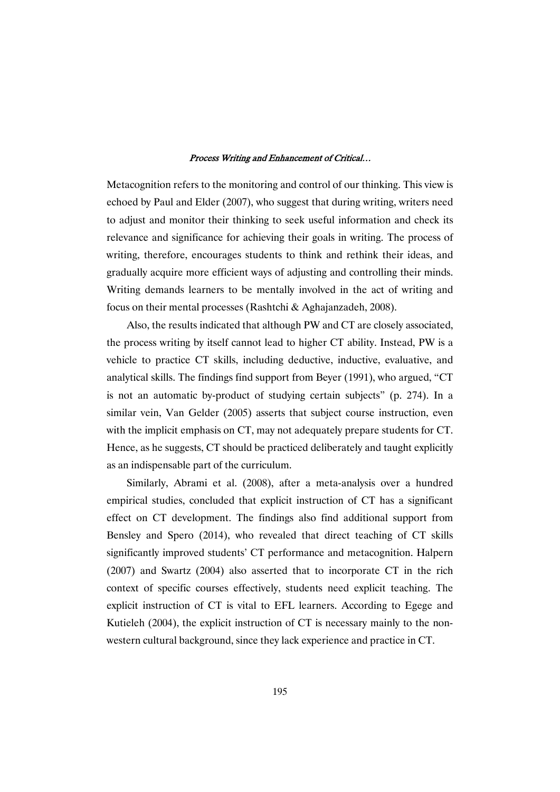Metacognition refers to the monitoring and control of our thinking. This view is echoed by Paul and Elder (2007), who suggest that during writing, writers need to adjust and monitor their thinking to seek useful information and check its relevance and significance for achieving their goals in writing. The process of writing, therefore, encourages students to think and rethink their ideas, and gradually acquire more efficient ways of adjusting and controlling their minds. Writing demands learners to be mentally involved in the act of writing and focus on their mental processes (Rashtchi & Aghajanzadeh, 2008).

Also, the results indicated that although PW and CT are closely associated, the process writing by itself cannot lead to higher CT ability. Instead, PW is a vehicle to practice CT skills, including deductive, inductive, evaluative, and analytical skills. The findings find support from Beyer (1991), who argued, "CT is not an automatic by-product of studying certain subjects" (p. 274). In a similar vein, Van Gelder (2005) asserts that subject course instruction, even with the implicit emphasis on CT, may not adequately prepare students for CT. Hence, as he suggests, CT should be practiced deliberately and taught explicitly as an indispensable part of the curriculum.

Similarly, Abrami et al. (2008), after a meta-analysis over a hundred empirical studies, concluded that explicit instruction of CT has a significant effect on CT development. The findings also find additional support from Bensley and Spero (2014), who revealed that direct teaching of CT skills significantly improved students' CT performance and metacognition. Halpern (2007) and Swartz (2004) also asserted that to incorporate CT in the rich context of specific courses effectively, students need explicit teaching. The explicit instruction of CT is vital to EFL learners. According to Egege and Kutieleh (2004), the explicit instruction of CT is necessary mainly to the nonwestern cultural background, since they lack experience and practice in CT.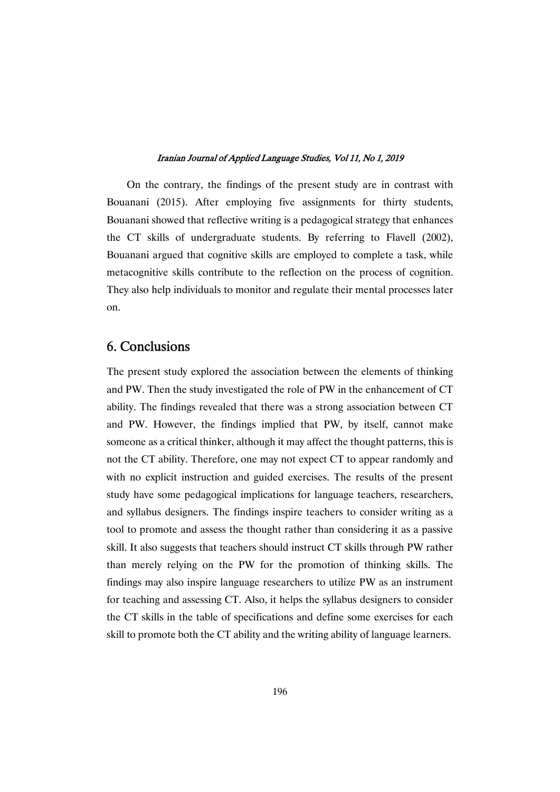On the contrary, the findings of the present study are in contrast with Bouanani (2015). After employing five assignments for thirty students, Bouanani showed that reflective writing is a pedagogical strategy that enhances the CT skills of undergraduate students. By referring to Flavell (2002), Bouanani argued that cognitive skills are employed to complete a task, while metacognitive skills contribute to the reflection on the process of cognition. They also help individuals to monitor and regulate their mental processes later on.

# 6. Conclusions

The present study explored the association between the elements of thinking and PW. Then the study investigated the role of PW in the enhancement of CT ability. The findings revealed that there was a strong association between CT and PW. However, the findings implied that PW, by itself, cannot make someone as a critical thinker, although it may affect the thought patterns, this is not the CT ability. Therefore, one may not expect CT to appear randomly and with no explicit instruction and guided exercises. The results of the present study have some pedagogical implications for language teachers, researchers, and syllabus designers. The findings inspire teachers to consider writing as a tool to promote and assess the thought rather than considering it as a passive skill. It also suggests that teachers should instruct CT skills through PW rather than merely relying on the PW for the promotion of thinking skills. The findings may also inspire language researchers to utilize PW as an instrument for teaching and assessing CT. Also, it helps the syllabus designers to consider the CT skills in the table of specifications and define some exercises for each skill to promote both the CT ability and the writing ability of language learners.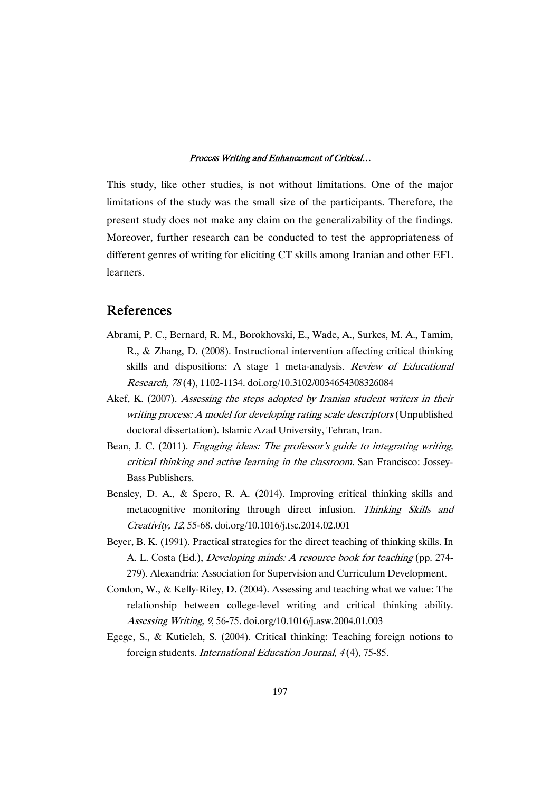This study, like other studies, is not without limitations. One of the major limitations of the study was the small size of the participants. Therefore, the present study does not make any claim on the generalizability of the findings. Moreover, further research can be conducted to test the appropriateness of different genres of writing for eliciting CT skills among Iranian and other EFL learners.

### References

- Abrami, P. C., Bernard, R. M., Borokhovski, E., Wade, A., Surkes, M. A., Tamim, R., & Zhang, D. (2008). Instructional intervention affecting critical thinking skills and dispositions: A stage 1 meta-analysis. Review of Educational Research,78(4),1102-1134.doi.org/10.3102/0034654308326084
- Akef, K. (2007). Assessing the steps adopted by Iranian student writers in their writing process: A model for developing rating scale descriptors (Unpublished doctoral dissertation). Islamic Azad University, Tehran, Iran.
- Bean, J. C. (2011). *Engaging ideas: The professor's guide to integrating writing*, critical thinking and active learning in the classroom. San Francisco: Jossey-Bass Publishers.
- Bensley, D. A., & Spero, R. A. (2014). Improving critical thinking skills and metacognitive monitoring through direct infusion. Thinking Skills and Creativity,12,55-68.doi.org/10.1016/j.tsc.2014.02.001
- Beyer, B. K. (1991). Practical strategies for the direct teaching of thinking skills. In A. L. Costa (Ed.), Developing minds: A resource book for teaching (pp. 274-279). Alexandria: Association for Supervision and Curriculum Development.
- Condon, W., & Kelly-Riley, D. (2004). Assessing and teaching what we value: The relationship between college-level writing and critical thinking ability. Assessing Writing, 9, 56-75. doi.org/10.1016/j.asw.2004.01.003
- Egege, S., & Kutieleh, S. (2004). Critical thinking: Teaching foreign notions to foreign students. International Education Journal, 4(4), 75-85.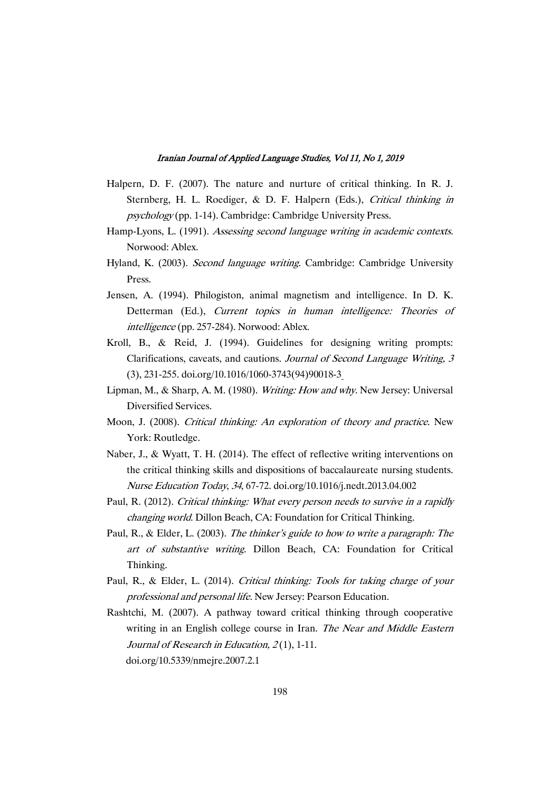- Halpern, D. F. (2007). The nature and nurture of critical thinking. In R. J. Sternberg, H. L. Roediger, & D. F. Halpern (Eds.), Critical thinking in psychology(pp. 1-14). Cambridge: Cambridge University Press.
- Hamp-Lyons, L. (1991). Assessing second language writing in academic contexts. Norwood:Ablex.
- Hyland, K. (2003). Second language writing. Cambridge: Cambridge University Press.
- Jensen, A. (1994). Philogiston, animal magnetism and intelligence. In D. K. Detterman (Ed.), Current topics in human intelligence: Theories of intelligence (pp. 257-284). Norwood: Ablex.
- Kroll, B., & Reid, J. (1994). Guidelines for designing writing prompts: Clarifications, caveats, and cautions. Journal of Second Language Writing, 3 (3),231-255.doi.org/10.1016/1060-3743(94)90018-3
- Lipman, M., & Sharp, A. M. (1980). Writing: How and why. New Jersey: Universal Diversified Services.
- Moon, J. (2008). Critical thinking: An exploration of theory and practice. New York: Routledge.
- Naber, J., & Wyatt, T. H. (2014). The effect of reflective writing interventions on the critical thinking skills and dispositions of baccalaureate nursing students. Nurse Education Today, 34, 67-72. doi.org/10.1016/j.nedt.2013.04.002
- Paul, R. (2012). Critical thinking: What every person needs to survive in a rapidly changing world. Dillon Beach, CA: Foundation for Critical Thinking.
- Paul, R., & Elder, L. (2003). The thinker's guide to how to write a paragraph: The art of substantive writing. Dillon Beach, CA: Foundation for Critical Thinking.
- Paul, R., & Elder, L. (2014). Critical thinking: Tools for taking charge of your professional and personal life. New Jersey: Pearson Education.
- Rashtchi, M. (2007). A pathway toward critical thinking through cooperative writing in an English college course in Iran. The Near and Middle Eastern Journal of Research in Education,  $2(1)$ , 1-11. doi.org/10.5339/nmejre.2007.2.1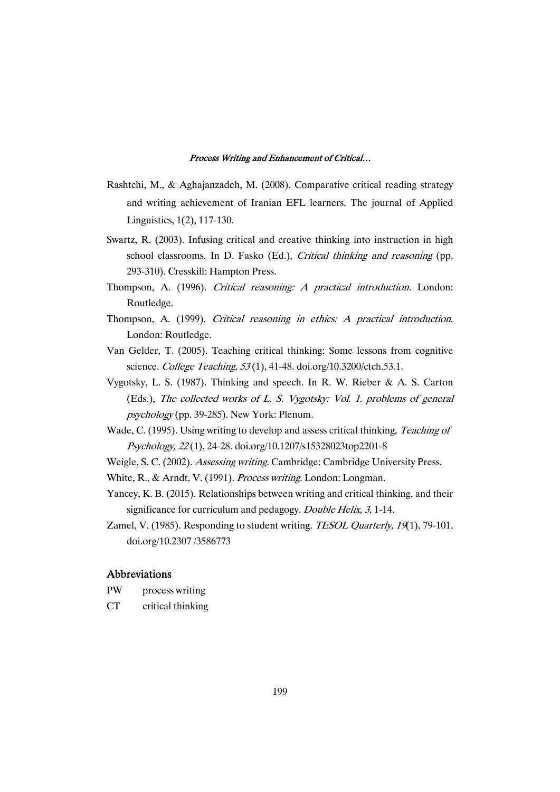- Rashtchi, M., & Aghajanzadeh, M. (2008). Comparative critical reading strategy and writing achievement of Iranian EFL learners. The journal of Applied Linguistics,1(2),117-130.
- Swartz, R. (2003). Infusing critical and creative thinking into instruction in high school classrooms. In D. Fasko (Ed.), *Critical thinking and reasoning* (pp. 293-310). Cresskill: Hampton Press.
- Thompson, A. (1996). Critical reasoning: A practical introduction. London: Routledge.
- Thompson, A. (1999). Critical reasoning in ethics: A practical introduction. London: Routledge.
- Van Gelder, T. (2005). Teaching critical thinking: Some lessons from cognitive science. College Teaching, 53(1), 41-48. doi.org/10.3200/ctch.53.1.
- Vygotsky, L. S. (1987). Thinking and speech. In R. W. Rieber & A. S. Carton (Eds.), The collected works of L. S. Vygotsky: Vol. 1. problems of general psychology(pp. 39-285). New York: Plenum.
- Wade, C. (1995). Using writing to develop and assess critical thinking, Teaching of Psychology,22(1),24-28.doi.org/10.1207/s15328023top2201-8
- Weigle, S. C. (2002). Assessing writing. Cambridge: Cambridge University Press.
- White, R., & Arndt, V. (1991). Process writing. London: Longman.
- Yancey, K.B. (2015). Relationships between writing and critical thinking, and their significance for curriculum and pedagogy. Double Helix, 3, 1-14.
- Zamel, V. (1985). Responding to student writing. TESOL Quarterly, 19(1), 79-101. doi.org/10.2307/3586773

### Abbreviations

- PW process writing
- CT critical thinking